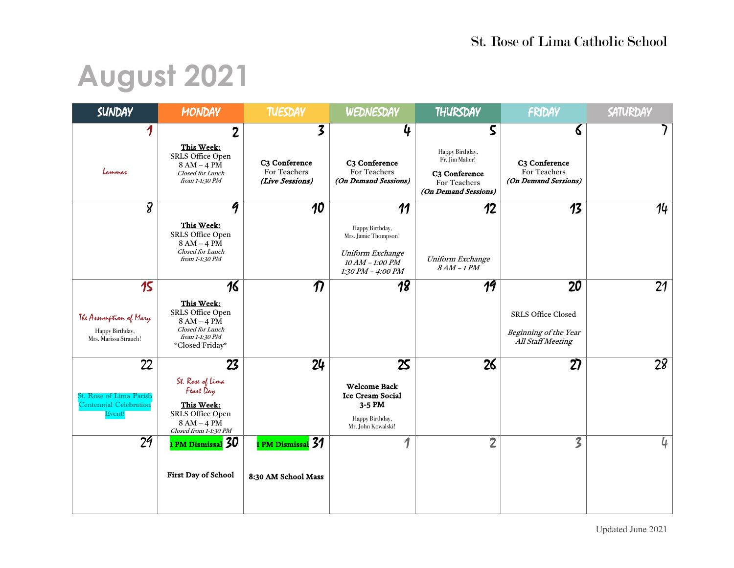# **August 2021**

| <b>SUNDAY</b>                                                            | <b>MONDAY</b>                                                                                                 | <b>TUESDAY</b>                                                    | WEDNESDAY                                                                                                   | THURSDAY                                                                                        | FRIDAY                                                                        | SATURDAY       |
|--------------------------------------------------------------------------|---------------------------------------------------------------------------------------------------------------|-------------------------------------------------------------------|-------------------------------------------------------------------------------------------------------------|-------------------------------------------------------------------------------------------------|-------------------------------------------------------------------------------|----------------|
| 1<br>Lammas                                                              | $\overline{2}$<br>This Week:<br>SRLS Office Open<br>8 AM - 4 PM<br>Closed for Lunch<br>from 1-1:30 PM         | 3<br>C <sub>3</sub> Conference<br>For Teachers<br>(Live Sessions) | 4<br>C <sub>3</sub> Conference<br>For Teachers<br>(On Demand Sessions)                                      | 5<br>Happy Birthday,<br>Fr. Jim Maher!<br>C3 Conference<br>For Teachers<br>(On Demand Sessions) | 6<br>C <sub>3</sub> Conference<br>For Teachers<br>(On Demand Sessions)        |                |
| 8                                                                        | 9<br>This Week:<br>SRLS Office Open<br>8 AM - 4 PM<br>Closed for Lunch<br>from 1-1:30 PM                      | 10                                                                | 11<br>Happy Birthday,<br>Mrs. Jamie Thompson!<br>Uniform Exchange<br>$10$ AM – 1:00 PM<br>1:30 PM - 4:00 PM | 12<br>Uniform Exchange<br>$8AM-1PM$                                                             | 13                                                                            | 14             |
| 15<br>The Assumption of Mary<br>Happy Birthday,<br>Mrs. Marissa Strauch! | 16<br>This Week:<br>SRLS Office Open<br>8 AM - 4 PM<br>Closed for Lunch<br>from 1-1:30 PM<br>*Closed Friday*  | $\boldsymbol{\eta}$                                               | $\overline{18}$                                                                                             | 19                                                                                              | 20<br><b>SRLS Office Closed</b><br>Beginning of the Year<br>All Staff Meeting | 21             |
| 22<br>St. Rose of Lima Parish<br><b>Centennial Celebration</b><br>Event! | 23<br>St. Rose of Lima<br>Feast Day<br>This Week:<br>SRLS Office Open<br>8 AM - 4 PM<br>Closed from 1-1:30 PM | 24                                                                | 25<br><b>Welcome Back</b><br><b>Ice Cream Social</b><br>3-5 PM<br>Happy Birthday,<br>Mr. John Kowalski!     | 26                                                                                              | 27                                                                            | 28             |
| 29                                                                       | 1 PM Dismissal 30<br>First Day of School                                                                      | 1 PM Dismissal 31<br>8:30 AM School Mass                          | 1                                                                                                           | $\overline{2}$                                                                                  | $\overline{\mathbf{3}}$                                                       | $\mathfrak{a}$ |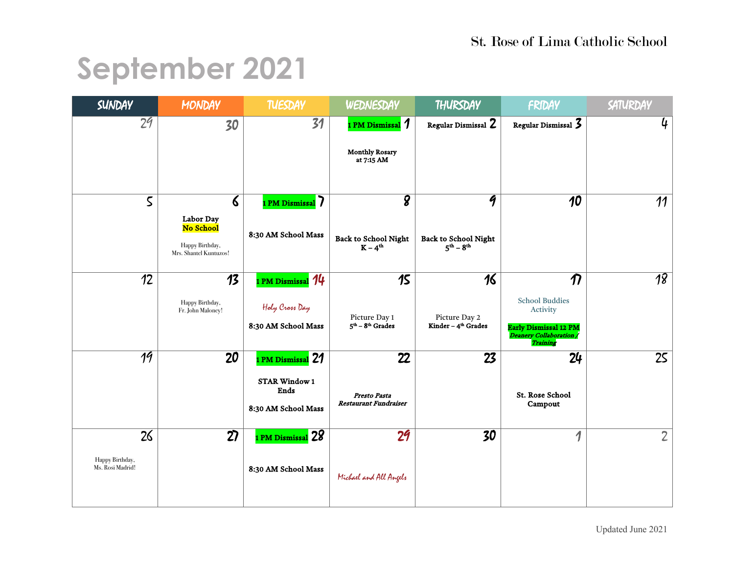## **September 2021**

| <b>SUNDAY</b>                             | MONDAY                                                                                       | <b>TUESDAY</b>                                                           | WEDNESDAY                                                       | THURSDAY                                                            | FRIDAY                                                                                                                          | SATURDAY        |
|-------------------------------------------|----------------------------------------------------------------------------------------------|--------------------------------------------------------------------------|-----------------------------------------------------------------|---------------------------------------------------------------------|---------------------------------------------------------------------------------------------------------------------------------|-----------------|
| 2 <sup>q</sup>                            | 30                                                                                           | 31                                                                       | 1 PM Dismissal 1<br><b>Monthly Rosary</b><br>at 7:15 AM         | Regular Dismissal 2                                                 | Regular Dismissal 3                                                                                                             | 4               |
| $\mathsf S$                               | $\boldsymbol{\delta}$<br>Labor Day<br>No School<br>Happy Birthday,<br>Mrs. Shantel Kuntuzos! | 1 PM Dismissal 7<br>8:30 AM School Mass                                  | $\overline{\bm{g}}$<br><b>Back to School Night</b><br>$K - 4th$ | 9<br><b>Back to School Night</b><br>$5^{\text{th}} - 8^{\text{th}}$ | 10                                                                                                                              | 11              |
| $\overline{12}$                           | $\overline{13}$<br>Happy Birthday,<br>Fr. John Maloney!                                      | 1 PM Dismissal 14<br>Holy Cross Day<br>8:30 AM School Mass               | 15<br>Picture Day 1<br>$5th - 8th$ Grades                       | 16<br>Picture Day 2<br>Kinder - 4 <sup>th</sup> Grades              | $\overline{\bm{n}}$<br><b>School Buddies</b><br>Activity<br><b>Early Dismissal 12 PM</b><br>Deanery Collaboration /<br>Training | $\overline{18}$ |
| 19                                        | 20                                                                                           | 1 PM Dismissal 21<br><b>STAR Window 1</b><br>Ends<br>8:30 AM School Mass | 22<br>Presto Pasta<br><b>Restaurant Fundraiser</b>              | 23                                                                  | 24<br>St. Rose School<br>Campout                                                                                                | 25              |
| 26<br>Happy Birthday,<br>Ms. Rosi Madrid! | 27                                                                                           | 1 PM Dismissal 28<br>8:30 AM School Mass                                 | 29<br>Michael and All Angels                                    | 30                                                                  | 1                                                                                                                               | $2^{\circ}$     |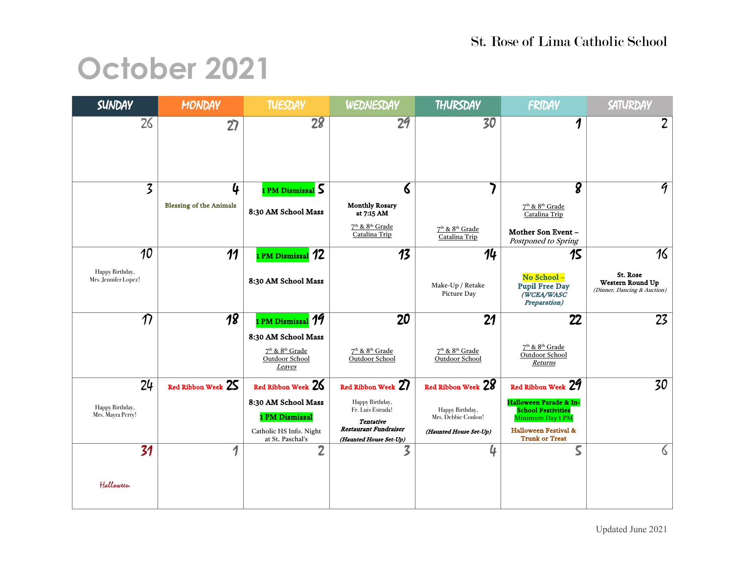## **October 2021**

| SUNDAY                                        | <b>MONDAY</b>                       | <b>TUESDAY</b>                                                                                                  | WEDNESDAY                                                                                                                                | THURSDAY                                                                               | FRIDAY                                                                                                                                                    | SATURDAY                                                          |
|-----------------------------------------------|-------------------------------------|-----------------------------------------------------------------------------------------------------------------|------------------------------------------------------------------------------------------------------------------------------------------|----------------------------------------------------------------------------------------|-----------------------------------------------------------------------------------------------------------------------------------------------------------|-------------------------------------------------------------------|
| 26                                            | $\overline{2}$                      | 28                                                                                                              | 29                                                                                                                                       | 30                                                                                     | 1                                                                                                                                                         | $\overline{2}$                                                    |
| 3                                             | 4<br><b>Blessing of the Animals</b> | 1 PM Dismissal 5<br>8:30 AM School Mass                                                                         | 6<br><b>Monthly Rosary</b><br>at 7:15 AM<br>7 <sup>th</sup> & 8 <sup>th</sup> Grade<br>Catalina Trip                                     | 7 <sup>th</sup> & 8 <sup>th</sup> Grade<br>Catalina Trip                               | $\overline{\bm{g}}$<br>7 <sup>th</sup> & 8 <sup>th</sup> Grade<br>Catalina Trip<br>Mother Son Event -<br>Postponed to Spring                              | 9                                                                 |
| 10<br>Happy Birthday,<br>Mrs. Jennifer Lopez! | 11                                  | PM Dismissal 12<br>8:30 AM School Mass                                                                          | 13                                                                                                                                       | 14<br>Make-Up / Retake<br>Picture Day                                                  | 15<br>No School-<br><b>Pupil Free Day</b><br>(WCEA/WASC<br>Preparation)                                                                                   | 16<br>St. Rose<br>Western Round Up<br>(Dinner, Dancing & Auction) |
| $\overline{\mathcal{D}}$                      | $\overline{18}$                     | 1 PM Dismissal 19<br>8:30 AM School Mass<br>7 <sup>th</sup> & 8 <sup>th</sup> Grade<br>Outdoor School<br>Leaves | 20<br>7 <sup>th</sup> & 8 <sup>th</sup> Grade<br>Outdoor School                                                                          | 21<br>7 <sup>th</sup> & 8 <sup>th</sup> Grade<br>Outdoor School                        | 22<br>7 <sup>th</sup> & 8 <sup>th</sup> Grade<br>Outdoor School<br>Returns                                                                                | 23                                                                |
| 24<br>Happy Birthday,<br>Mrs. Mayra Perry!    | Red Ribbon Week 25                  | Red Ribbon Week 26<br>8:30 AM School Mass<br>1 PM Dismissal<br>Catholic HS Info. Night<br>at St. Paschal's      | Red Ribbon Week 27<br>Happy Birthday,<br>Fr. Luis Estrada!<br><b>Tentative</b><br><b>Restaurant Fundraiser</b><br>(Haunted House Set-Up) | Red Ribbon Week 28<br>Happy Birthday,<br>Mrs. Debbie Conlon!<br>(Haunted House Set-Up) | Red Ribbon Week 29<br>Halloween Parade & In-<br><b>School Festivities</b><br>Minimum Day 1 PM<br><b>Halloween Festival &amp;</b><br><b>Trunk or Treat</b> | 30                                                                |
| 31<br>Halloween                               | 1                                   | $\overline{2}$                                                                                                  | 3                                                                                                                                        | 4                                                                                      | $\overline{\mathsf{S}}$                                                                                                                                   | $\delta$                                                          |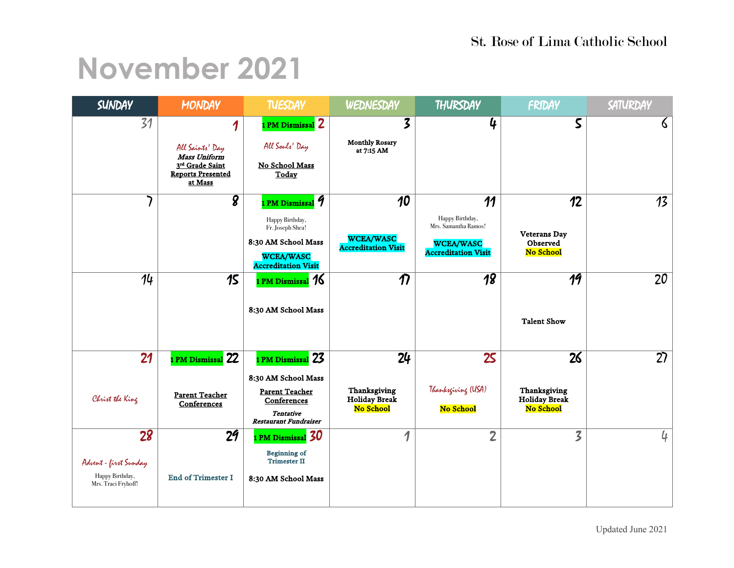### **November 2021**

| <b>SUNDAY</b>                                                         | <b>MONDAY</b>                                                                                  | <b>TUESDAY</b>                                                                                                                                    | WEDNESDAY                                                         | THURSDAY                                                                                        | FRIDAY                                                  | SATURDAY       |
|-----------------------------------------------------------------------|------------------------------------------------------------------------------------------------|---------------------------------------------------------------------------------------------------------------------------------------------------|-------------------------------------------------------------------|-------------------------------------------------------------------------------------------------|---------------------------------------------------------|----------------|
| 31                                                                    | 1<br>All Saints' Day<br>Mass Uniform<br>3rd Grade Saint<br><b>Reports Presented</b><br>at Mass | 1 PM Dismissal 2<br>All Souls' Day<br>No School Mass<br>Today                                                                                     | 3<br><b>Monthly Rosary</b><br>at 7:15 AM                          | 4                                                                                               | 5                                                       | $\delta$       |
|                                                                       | 8                                                                                              | 1 PM Dismissal <i>9</i><br>Happy Birthday,<br>Fr. Joseph Shea!<br>8:30 AM School Mass<br><b>WCEA/WASC</b><br><b>Accreditation Visit</b>           | $\overline{10}$<br><b>WCEA/WASC</b><br><b>Accreditation Visit</b> | 11<br>Happy Birthday,<br>Mrs. Samantha Ramos!<br><b>WCEA/WASC</b><br><b>Accreditation Visit</b> | 12<br><b>Veterans Day</b><br>Observed<br>No School      | 13             |
| 14                                                                    | 15                                                                                             | I PM Dismissal 76<br>8:30 AM School Mass                                                                                                          | $\boldsymbol{\eta}$                                               | $\overline{18}$                                                                                 | 19<br><b>Talent Show</b>                                | 20             |
| 21<br>Christ the King                                                 | PM Dismissal 22<br><b>Parent Teacher</b><br>Conferences                                        | 1 PM Dismissal <mark>23</mark><br>8:30 AM School Mass<br><b>Parent Teacher</b><br>Conferences<br><b>Tentative</b><br><b>Restaurant Fundraiser</b> | 24<br>Thanksgiving<br><b>Holiday Break</b><br>No School           | 25<br>Thanksgiving (USA)<br>No School                                                           | 26<br>Thanksgiving<br><b>Holiday Break</b><br>No School | 27             |
| 28<br>Advent - first Sunday<br>Happy Birthday,<br>Mrs. Traci Fryhoff! | 2 <sub>9</sub><br><b>End of Trimester I</b>                                                    | 1 PM Dismissal 30<br><b>Beginning of</b><br><b>Trimester II</b><br>8:30 AM School Mass                                                            | 1                                                                 | $\overline{2}$                                                                                  | $\overline{\mathcal{Z}}$                                | $\mathfrak{q}$ |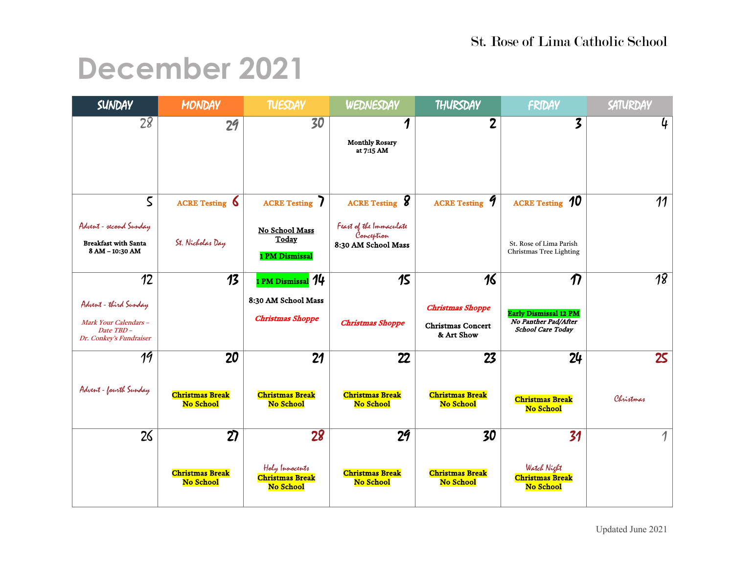### **December 2021**

| SUNDAY                                                                   | <b>MONDAY</b>                              | <b>TUESDAY</b>                                        | WEDNESDAY                                                    | THURSDAY                                   | FRIDAY                                                    | SATURDAY        |
|--------------------------------------------------------------------------|--------------------------------------------|-------------------------------------------------------|--------------------------------------------------------------|--------------------------------------------|-----------------------------------------------------------|-----------------|
| 28                                                                       | 2 <sub>9</sub>                             | 30                                                    | $\boldsymbol{\eta}$<br><b>Monthly Rosary</b><br>at 7:15 AM   | 2                                          | 3                                                         | 4               |
|                                                                          |                                            |                                                       |                                                              |                                            |                                                           |                 |
| $\mathsf S$                                                              | <b>ACRE</b> Testing 6                      | <b>ACRE</b> Testing 7                                 | <b>ACRE</b> Testing <b>8</b>                                 | ACRE Testing 9                             | <b>ACRE</b> Testing 10                                    | 11              |
| Advent - second Sunday<br><b>Breakfast with Santa</b><br>8 AM - 10:30 AM | St. Nicholas Day                           | No School Mass<br>Today<br>1 PM Dismissal             | Feast of the Immaculate<br>Conception<br>8:30 AM School Mass |                                            | St. Rose of Lima Parish<br>Christmas Tree Lighting        |                 |
| $\overline{12}$                                                          | $\overline{13}$                            | PM Dismissal 14                                       | 15                                                           | 16                                         | $\boldsymbol{\eta}$                                       | 18              |
| Advent - third Sunday                                                    |                                            | 8:30 AM School Mass<br><b>Christmas Shoppe</b>        |                                                              | <b>Christmas Shoppe</b>                    | <b>Early Dismissal 12 PM</b><br>No Panther Pad/After      |                 |
| Mark Your Calendars -<br>Date TBD-<br>Dr. Conkey's Fundraiser            |                                            |                                                       | <b>Christmas Shoppe</b>                                      | <b>Christmas Concert</b><br>& Art Show     | School Care Today                                         |                 |
| 19                                                                       | 20                                         | 21                                                    | 22                                                           | 23                                         | 24                                                        | 25 <sub>1</sub> |
| Advent - faurth Sunday                                                   | <b>Christmas Break</b><br>No School        | <b>Christmas Break</b><br>No School                   | <b>Christmas Break</b><br>No School                          | <b>Christmas Break</b><br>No School        | <b>Christmas Break</b><br>No School                       | Christmas       |
| 26                                                                       | 27                                         | 28                                                    | 29                                                           | 30                                         | 31                                                        | 1               |
|                                                                          | <b>Christmas Break</b><br><b>No School</b> | Holy Innocents<br><b>Christmas Break</b><br>No School | <b>Christmas Break</b><br><b>No School</b>                   | <b>Christmas Break</b><br><b>No School</b> | Watch Night<br><b>Christmas Break</b><br><b>No School</b> |                 |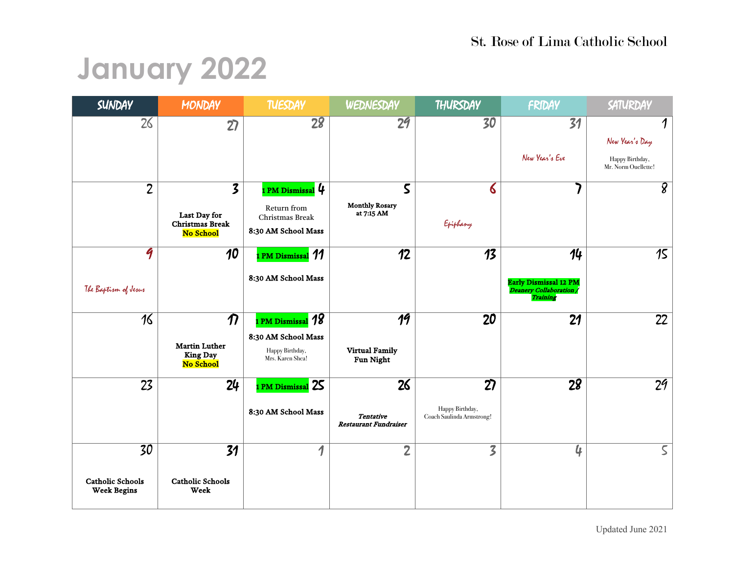## **January 2022**

| <b>SUNDAY</b>                                       | <b>MONDAY</b>                                                                         | <b>TUESDAY</b>                                                                         | WEDNESDAY                                              | THURSDAY                                                        | FRIDAY                                                                           | SATURDAY                                                                        |
|-----------------------------------------------------|---------------------------------------------------------------------------------------|----------------------------------------------------------------------------------------|--------------------------------------------------------|-----------------------------------------------------------------|----------------------------------------------------------------------------------|---------------------------------------------------------------------------------|
| 26                                                  | 27                                                                                    | 28                                                                                     | 29                                                     | 30                                                              | 31<br>New Year's Eve                                                             | $\boldsymbol{\eta}$<br>New Year's Day<br>Happy Birthday,<br>Mr. Norm Ouellette! |
| $\overline{2}$                                      | $\overline{\mathbf{3}}$<br>Last Day for<br><b>Christmas Break</b><br><b>No School</b> | 1 PM Dismissal 4<br>Return from<br>Christmas Break<br>8:30 AM School Mass              | $\mathsf S$<br><b>Monthly Rosary</b><br>at 7:15 AM     | 6<br>Epiphany                                                   |                                                                                  | $\overline{8}$                                                                  |
| 9<br>The Baptism of Jesus                           | 10                                                                                    | <b>PM Dismissal 11</b><br>8:30 AM School Mass                                          | 12                                                     | $\overline{13}$                                                 | 14<br><b>Early Dismissal 12 PM</b><br><i>Deanery Collaboration /</i><br>Training | 15                                                                              |
| 16                                                  | $\boldsymbol{\eta}$<br><b>Martin Luther</b><br><b>King Day</b><br>No School           | 1 PM Dismissal <b>18</b><br>8:30 AM School Mass<br>Happy Birthday,<br>Mrs. Karen Shea! | $\overline{19}$<br><b>Virtual Family</b><br>Fun Night  | 20                                                              | 21                                                                               | 22                                                                              |
| 23                                                  | 24                                                                                    | 1 PM Dismissal 25<br>8:30 AM School Mass                                               | 26<br><b>Tentative</b><br><b>Restaurant Fundraiser</b> | $\overline{27}$<br>Happy Birthday,<br>Coach Saulinda Armstrong! | $\overline{28}$                                                                  | $\overline{29}$                                                                 |
| 30<br><b>Catholic Schools</b><br><b>Week Begins</b> | 31<br><b>Catholic Schools</b><br>Week                                                 | 1                                                                                      | $\overline{2}$                                         | $\overline{\mathsf{S}}$                                         | 4                                                                                | $\mathsf{S}$                                                                    |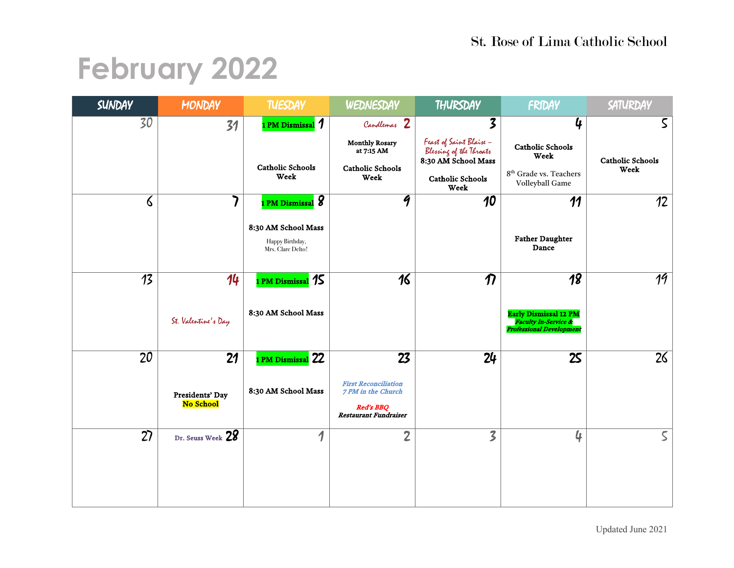## **February 2022**

| SUNDAY   | <b>MONDAY</b>                | <b>TUESDAY</b>                                              | WEDNESDAY                                                                                             | THURSDAY                                                                                                     | FRIDAY                                                                                             | SATURDAY                        |
|----------|------------------------------|-------------------------------------------------------------|-------------------------------------------------------------------------------------------------------|--------------------------------------------------------------------------------------------------------------|----------------------------------------------------------------------------------------------------|---------------------------------|
| 30       | 31                           | 1 PM Dismissal 1                                            | Candlemas 2                                                                                           | $\boldsymbol{\mathcal{Z}}$                                                                                   | 4                                                                                                  | $\mathsf S$                     |
|          |                              | <b>Catholic Schools</b><br>Week                             | <b>Monthly Rosary</b><br>at 7:15 AM<br><b>Catholic Schools</b><br>Week                                | Feast of Saint Blaise -<br>Blessing of the Throats<br>8:30 AM School Mass<br><b>Catholic Schools</b><br>Week | <b>Catholic Schools</b><br>Week<br>8 <sup>th</sup> Grade vs. Teachers<br>Volleyball Game           | <b>Catholic Schools</b><br>Week |
| $\delta$ |                              | 1 PM Dismissal 8                                            | $\overline{q}$                                                                                        | 10                                                                                                           | 11                                                                                                 | 12                              |
|          |                              | 8:30 AM School Mass<br>Happy Birthday,<br>Mrs. Clare Delto! |                                                                                                       |                                                                                                              | <b>Father Daughter</b><br>Dance                                                                    |                                 |
| 13       | 14                           | 1 PM Dismissal 15                                           | 16                                                                                                    | $\boldsymbol{\eta}$                                                                                          | 18                                                                                                 | 19                              |
|          | St. Valentine's Day          | 8:30 AM School Mass                                         |                                                                                                       |                                                                                                              | <b>Early Dismissal 12 PM</b><br><b>Faculty In-Service &amp;</b><br><b>Professional Development</b> |                                 |
| 20       | 21                           | I PM Dismissal 22                                           | 23                                                                                                    | 24                                                                                                           | 25                                                                                                 | 26                              |
|          | Presidents' Day<br>No School | 8:30 AM School Mass                                         | <b>First Reconciliation</b><br>7 PM in the Church<br><b>Red's BBQ</b><br><b>Restaurant Fundraiser</b> |                                                                                                              |                                                                                                    |                                 |
| 27       | Dr. Seuss Week 28            | 1                                                           | $\overline{2}$                                                                                        | $\overline{\mathcal{Z}}$                                                                                     | 4                                                                                                  | $\mathsf S$                     |
|          |                              |                                                             |                                                                                                       |                                                                                                              |                                                                                                    |                                 |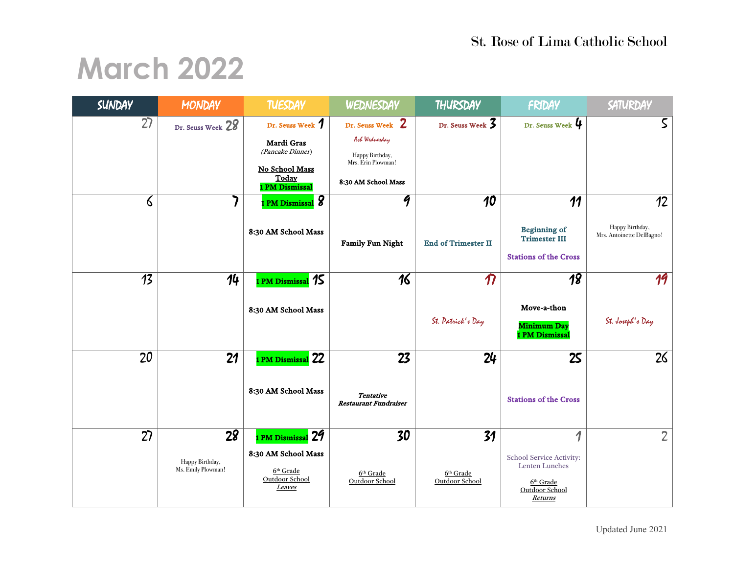#### St. Rose of Lima Catholic School

### **March 2022**

| <b>SUNDAY</b> | MONDAY                                      | <b>TUESDAY</b>                                                                                  | WEDNESDAY                                                                                         | THURSDAY                                    | FRIDAY                                                                                      | SATURDAY                                           |
|---------------|---------------------------------------------|-------------------------------------------------------------------------------------------------|---------------------------------------------------------------------------------------------------|---------------------------------------------|---------------------------------------------------------------------------------------------|----------------------------------------------------|
| 27            | Dr. Seuss Week 28                           | Dr. Seuss Week 7<br>Mardi Gras<br>(Pancake Dinner)<br>No School Mass<br>Today<br>1 PM Dismissal | Dr. Seuss Week 2<br>Ark Wednesday<br>Happy Birthday,<br>Mrs. Erin Plowman!<br>8:30 AM School Mass | Dr. Seuss Week 3                            | Dr. Seuss Week 4                                                                            | $\mathsf{S}$                                       |
| 6             |                                             | 1 PM Dismissal $\bm{\mathcal{S}}$<br>8:30 AM School Mass                                        | $\overline{\mathcal{G}}$<br><b>Family Fun Night</b>                                               | 10<br><b>End of Trimester II</b>            | 11<br><b>Beginning of</b><br><b>Trimester III</b><br><b>Stations of the Cross</b>           | 12<br>Happy Birthday,<br>Mrs. Antoinette DelBagno! |
| 13            | 14                                          | 1 PM Dismissal <b>15</b><br>8:30 AM School Mass                                                 | 16                                                                                                | $\overline{\bm{\eta}}$<br>St. Patrick's Day | $\overline{18}$<br>Move-a-thon<br><b>Minimum Day</b><br>1 PM Dismissal                      | 19<br>St. Joseph's Day                             |
| 20            | 21                                          | 1 PM Dismissal 22<br>8:30 AM School Mass                                                        | 23<br><b>Tentative</b><br><b>Restaurant Fundraiser</b>                                            | 24                                          | 25<br><b>Stations of the Cross</b>                                                          | 26                                                 |
| 27            | 28<br>Happy Birthday,<br>Ms. Emily Plowman! | 1 PM Dismissal 29<br>8:30 AM School Mass<br>6 <sup>th</sup> Grade<br>Outdoor School<br>Leaves   | 30<br>$6th$ Grade<br>Outdoor School                                                               | 31<br>$6th$ Grade<br>Outdoor School         | 1<br>School Service Activity:<br>Lenten Lunches<br>$6th$ Grade<br>Outdoor School<br>Returns | $2^{\circ}$                                        |

Updated June 2021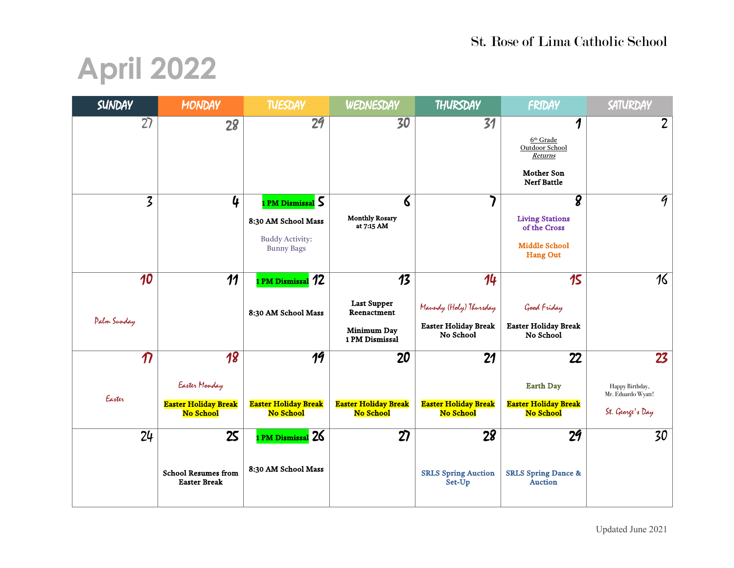# **April 2022**

| <b>SUNDAY</b>              | <b>MONDAY</b>                                     | <b>TUESDAY</b>                              | WEDNESDAY                                | THURSDAY                                 | FRIDAY                                           | SATURDAY                              |
|----------------------------|---------------------------------------------------|---------------------------------------------|------------------------------------------|------------------------------------------|--------------------------------------------------|---------------------------------------|
| 27                         | 28                                                | 29                                          | 30                                       | 31                                       | 1                                                | $\overline{2}$                        |
|                            |                                                   |                                             |                                          |                                          | $6th$ Grade<br>Outdoor School                    |                                       |
|                            |                                                   |                                             |                                          |                                          | <b>Returns</b>                                   |                                       |
|                            |                                                   |                                             |                                          |                                          | <b>Mother Son</b><br><b>Nerf Battle</b>          |                                       |
| $\overline{3}$             | 4                                                 | 1 PM Dismissal 5                            | $\epsilon$                               |                                          | $\overline{\mathbf{g}}$                          | $\overline{q}$                        |
|                            |                                                   | 8:30 AM School Mass                         | <b>Monthly Rosary</b><br>at 7:15 AM      |                                          | <b>Living Stations</b><br>of the Cross           |                                       |
|                            |                                                   | <b>Buddy Activity:</b><br><b>Bunny Bags</b> |                                          |                                          | <b>Middle School</b><br><b>Hang Out</b>          |                                       |
| 10                         | 11                                                | 1 PM Dismissal 12                           | $\overline{13}$                          | 14                                       | 15                                               | $\overline{16}$                       |
|                            |                                                   |                                             |                                          |                                          |                                                  |                                       |
|                            |                                                   | 8:30 AM School Mass                         | <b>Last Supper</b><br>Reenactment        | Maundy (Haly) Thursday                   | Good Friday                                      |                                       |
| Palm Sunday                |                                                   |                                             | Minimum Day<br>1 PM Dismissal            | <b>Easter Holiday Break</b><br>No School | <b>Easter Holiday Break</b><br>No School         |                                       |
| $\boldsymbol{\mathcal{D}}$ | 18                                                | 19                                          | 20                                       | 21                                       | 22                                               | 23                                    |
|                            | Easter Monday                                     |                                             |                                          |                                          | <b>Earth Day</b>                                 | Happy Birthday,<br>Mr. Eduardo Wyatt! |
| Easter                     | <b>Easter Holiday Break</b><br>No School          | <b>Easter Holiday Break</b><br>No School    | <b>Easter Holiday Break</b><br>No School | <b>Easter Holiday Break</b><br>No School | <b>Easter Holiday Break</b><br>No School         | St. George's Day                      |
| 24                         | 25                                                | 1 PM Dismissal 26                           | 27                                       | 28                                       | 29                                               | 30                                    |
|                            | <b>School Resumes from</b><br><b>Easter Break</b> | 8:30 AM School Mass                         |                                          | <b>SRLS Spring Auction</b><br>Set-Up     | <b>SRLS Spring Dance &amp;</b><br><b>Auction</b> |                                       |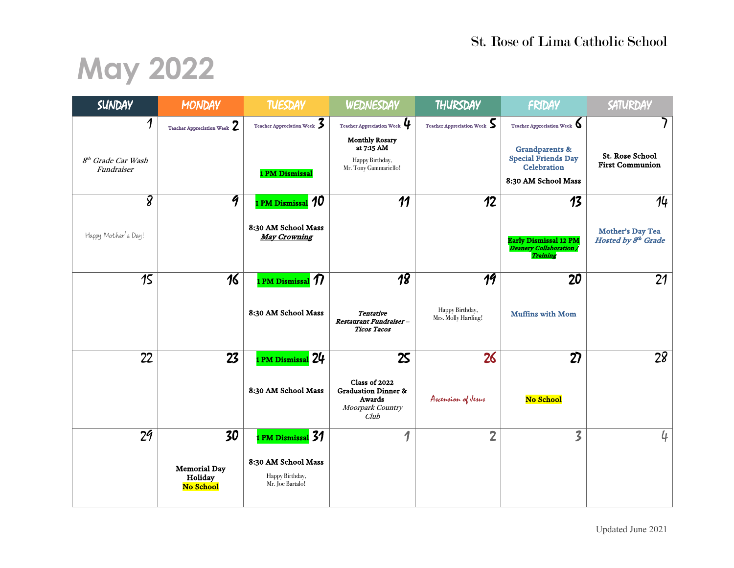# **May 2022**

| SUNDAY                                            | <b>MONDAY</b>                                     | <b>TUESDAY</b>                                                                | WEDNESDAY                                                                                                    | THURSDAY                                                  | FRIDAY                                                                                              | SATURDAY                                                  |
|---------------------------------------------------|---------------------------------------------------|-------------------------------------------------------------------------------|--------------------------------------------------------------------------------------------------------------|-----------------------------------------------------------|-----------------------------------------------------------------------------------------------------|-----------------------------------------------------------|
| 1<br>8 <sup>th</sup> Grade Car Wash<br>Fundraiser | Teacher Appreciation Week $2$                     | Teacher Appreciation Week $\boldsymbol{\mathcal{Z}}$<br>1 PM Dismissal        | Teacher Appreciation Week<br><b>Monthly Rosary</b><br>at 7:15 AM<br>Happy Birthday,<br>Mr. Tony Gammariello! | Teacher Appreciation Week $\boldsymbol{\mathsf{S}}$       | Teacher Appreciation Week<br><b>Grandparents &amp;</b><br><b>Special Friends Day</b><br>Celebration | 7<br><b>St. Rose School</b><br><b>First Communion</b>     |
|                                                   |                                                   |                                                                               |                                                                                                              |                                                           | 8:30 AM School Mass                                                                                 |                                                           |
| $\overline{g}$<br>Happy Mother's Day!             | $\overline{q}$                                    | 1 PM Dismissal 10<br>8:30 AM School Mass<br><b>May Crowning</b>               | 11                                                                                                           | 12                                                        | 13<br><b>Early Dismissal 12 PM</b><br>Deanery Collaboration /<br>Training                           | 14<br>Mother's Day Tea<br>Hosted by 8 <sup>th</sup> Grade |
| 15                                                | 16                                                | I PM Dismissal $\bm{\mathcal{D}}$<br>8:30 AM School Mass                      | $\overline{18}$<br><b>Tentative</b><br>Restaurant Fundraiser-<br><b>Ticos Tacos</b>                          | $\overline{19}$<br>Happy Birthday,<br>Mrs. Molly Harding! | $\overline{20}$<br><b>Muffins with Mom</b>                                                          | 21                                                        |
| 22                                                | 23                                                | PM Dismissal 24<br>8:30 AM School Mass                                        | 25<br>Class of 2022<br><b>Graduation Dinner &amp;</b><br>Awards<br>Moorpark Country<br>Club                  | 26<br>Ascension of Jesus                                  | 27<br>No School                                                                                     | 28                                                        |
| 2 <sup>q</sup>                                    | 30<br><b>Memorial Day</b><br>Holiday<br>No School | PM Dismissal 31<br>8:30 AM School Mass<br>Happy Birthday,<br>Mr. Joe Bartalo! | 1                                                                                                            | $\overline{2}$                                            | $\overline{\mathcal{Z}}$                                                                            | 4                                                         |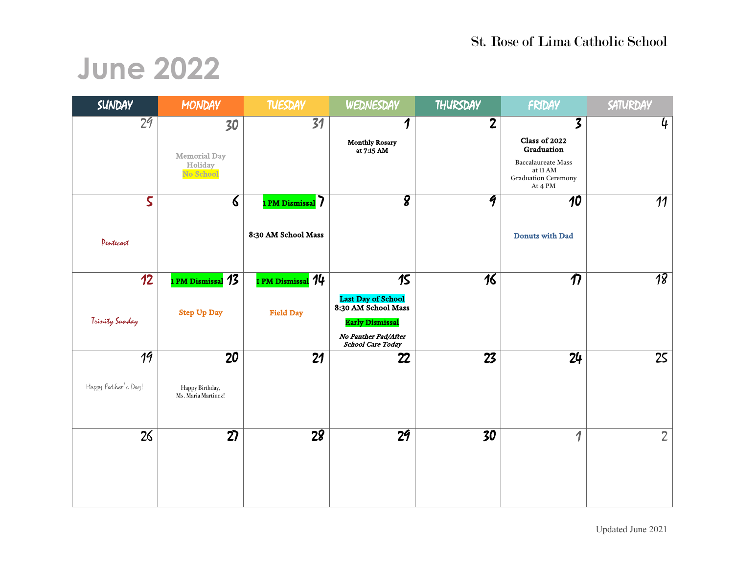### **June 2022**

| SUNDAY                  | <b>MONDAY</b>                               | <b>TUESDAY</b>           | WEDNESDAY                                        | THURSDAY        | FRIDAY                                | SATURDAY        |
|-------------------------|---------------------------------------------|--------------------------|--------------------------------------------------|-----------------|---------------------------------------|-----------------|
| 29                      | 30                                          | 31                       | $\boldsymbol{\eta}$                              | $\mathbf{2}$    | 3                                     | 4               |
|                         |                                             |                          | <b>Monthly Rosary</b><br>at 7:15 AM              |                 | Class of 2022<br>Graduation           |                 |
|                         | <b>Memorial Day</b><br>Holiday<br>No School |                          |                                                  |                 | Baccalaureate Mass<br>at 11 AM $\,$   |                 |
|                         |                                             |                          |                                                  |                 | <b>Graduation Ceremony</b><br>At 4 PM |                 |
| $\overline{\mathsf{S}}$ | $\boldsymbol{\delta}$                       | 1 PM Dismissal 7         | $\overline{\bm{g}}$                              | 9               | 10                                    | 11              |
|                         |                                             | 8:30 AM School Mass      |                                                  |                 |                                       |                 |
| Pentecost               |                                             |                          |                                                  |                 | <b>Donuts with Dad</b>                |                 |
|                         |                                             |                          |                                                  |                 |                                       |                 |
| 12                      | 1 PM Dismissal 13                           | 1 PM Dismissal <i>14</i> | 15                                               | 16              | $\boldsymbol{\eta}$                   | $\overline{18}$ |
|                         | <b>Step Up Day</b>                          | <b>Field Day</b>         | <b>Last Day of School</b><br>8:30 AM School Mass |                 |                                       |                 |
| Trinity Sunday          |                                             |                          | <b>Early Dismissal</b>                           |                 |                                       |                 |
|                         |                                             |                          | No Panther Pad/After<br><b>School Care Today</b> |                 |                                       |                 |
| $\overline{19}$         | 20                                          | 21                       | 22                                               | 23              | 24                                    | 25              |
| Happy Father's Day!     | Happy Birthday,<br>Ms. Maria Martinez!      |                          |                                                  |                 |                                       |                 |
|                         |                                             |                          |                                                  |                 |                                       |                 |
|                         |                                             |                          |                                                  |                 |                                       |                 |
| 26                      | $\overline{27}$                             | $\overline{28}$          | $\overline{29}$                                  | $\overline{30}$ | $\overline{\mathcal{L}}$              | $2^{\circ}$     |
|                         |                                             |                          |                                                  |                 |                                       |                 |
|                         |                                             |                          |                                                  |                 |                                       |                 |
|                         |                                             |                          |                                                  |                 |                                       |                 |